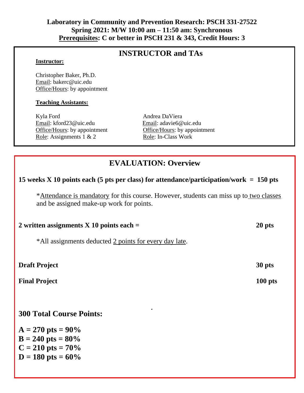### **Laboratory in Community and Prevention Research: PSCH 331-27522 Spring 2021: M/W 10:00 am – 11:50 am: Synchronous Prerequisites: C or better in PSCH 231 & 343, Credit Hours: 3**

# **INSTRUCTOR and TAs**

#### **Instructor:**

Christopher Baker, Ph.D. Email: bakerc@uic.edu Office/Hours: by appointment

#### **Teaching Assistants:**

Kyla Ford Andrea DaViera Email: kford23@uic.edu Email: adavie6@uic.edu Role: Assignments 1 & 2 Role: In-Class Work

Office/Hours: by appointment Office/Hours: by appointment

# **EVALUATION: Overview**

## **15 weeks X 10 points each (5 pts per class) for attendance/participation/work = 150 pts**

\*Attendance is mandatory for this course. However, students can miss up to two classes and be assigned make-up work for points.

| 2 written assignments $X$ 10 points each $=$           | 20 pts |
|--------------------------------------------------------|--------|
| *All assignments deducted 2 points for every day late. |        |
| <b>Draft Project</b>                                   | 30 pts |

**.**

Final Project 100 pts

## **300 Total Course Points:**

 $A = 270$  pts =  $90\%$  $B = 240$  **pts** =  $80\%$  $C = 210$  pts =  $70\%$  $D = 180$  pts =  $60\%$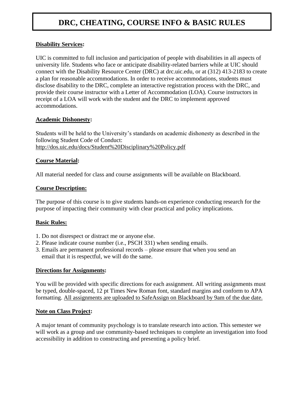# **DRC, CHEATING, COURSE INFO & BASIC RULES**

#### **Disability Services:**

UIC is committed to full inclusion and participation of people with disabilities in all aspects of university life. Students who face or anticipate disability-related barriers while at UIC should connect with the Disability Resource Center (DRC) at drc.uic.edu, or at (312) 413-2183 to create a plan for reasonable accommodations. In order to receive accommodations, students must disclose disability to the DRC, complete an interactive registration process with the DRC, and provide their course instructor with a Letter of Accommodation (LOA). Course instructors in receipt of a LOA will work with the student and the DRC to implement approved accommodations.

#### **Academic Dishonesty:**

Students will be held to the University's standards on academic dishonesty as described in the following Student Code of Conduct: http://dos.uic.edu/docs/Student%20Disciplinary%20Policy.pdf

#### **Course Material:**

All material needed for class and course assignments will be available on Blackboard.

#### **Course Description:**

The purpose of this course is to give students hands-on experience conducting research for the purpose of impacting their community with clear practical and policy implications.

#### **Basic Rules:**

- 1. Do not disrespect or distract me or anyone else.
- 2. Please indicate course number (i.e., PSCH 331) when sending emails.
- 3. Emails are permanent professional records please ensure that when you send an email that it is respectful, we will do the same.

#### **Directions for Assignments:**

You will be provided with specific directions for each assignment. All writing assignments must be typed, double-spaced, 12 pt Times New Roman font, standard margins and conform to APA formatting. All assignments are uploaded to SafeAssign on Blackboard by 9am of the due date.

#### **Note on Class Project:**

A major tenant of community psychology is to translate research into action. This semester we will work as a group and use community-based techniques to complete an investigation into food accessibility in addition to constructing and presenting a policy brief.